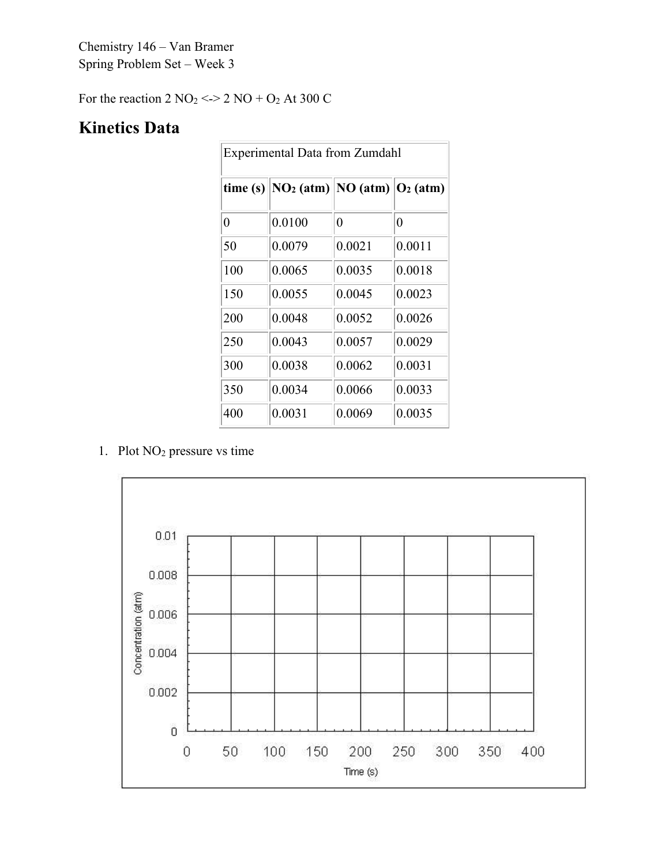Chemistry 146 – Van Bramer Spring Problem Set – Week 3

For the reaction  $2 \text{ NO}_2 \leq 2 \text{ NO} + \text{O}_2$  At 300 C

## **Kinetics Data**

| <b>Experimental Data from Zumdahl</b> |                                                               |          |        |
|---------------------------------------|---------------------------------------------------------------|----------|--------|
| time(s)                               | $\ NO_2 \text{ (atm)}\ NO \text{ (atm)}\ O_2 \text{ (atm)}\ $ |          |        |
| 0                                     | 0.0100                                                        | $\theta$ | 0      |
| 50                                    | 0.0079                                                        | 0.0021   | 0.0011 |
| 100                                   | 0.0065                                                        | 0.0035   | 0.0018 |
| 150                                   | 0.0055                                                        | 0.0045   | 0.0023 |
| 200                                   | 0.0048                                                        | 0.0052   | 0.0026 |
| 250                                   | 0.0043                                                        | 0.0057   | 0.0029 |
| 300                                   | 0.0038                                                        | 0.0062   | 0.0031 |
| 350                                   | 0.0034                                                        | 0.0066   | 0.0033 |
| 400                                   | 0.0031                                                        | 0.0069   | 0.0035 |

1. Plot NO2 pressure vs time

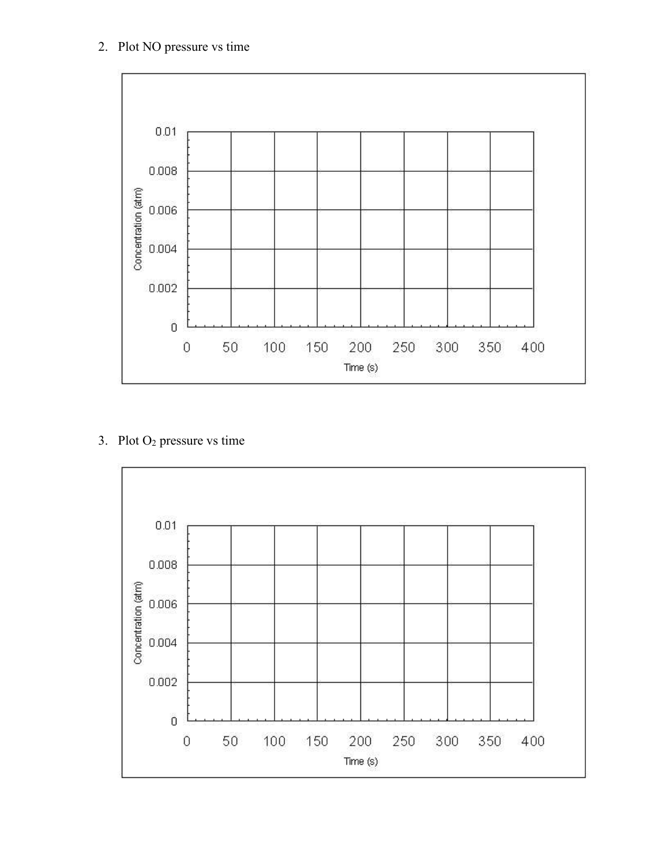

## 3. Plot O2 pressure vs time

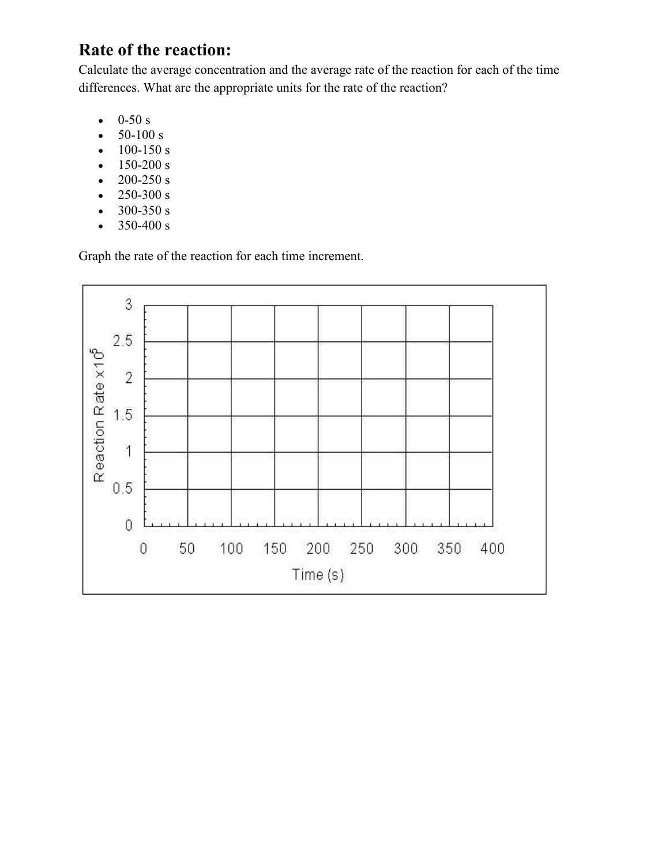## **Rate of the reaction:**

Calculate the average concentration and the average rate of the reaction for each of the time differences. What are the appropriate units for the rate of the reaction?

- $0-50 s$
- $50-100 s$
- $100-150 s$
- 150-200 s
- $200 250 s$
- $250-300 s$
- 300-350 s
- $350-400 s$

Graph the rate of the reaction for each time increment.

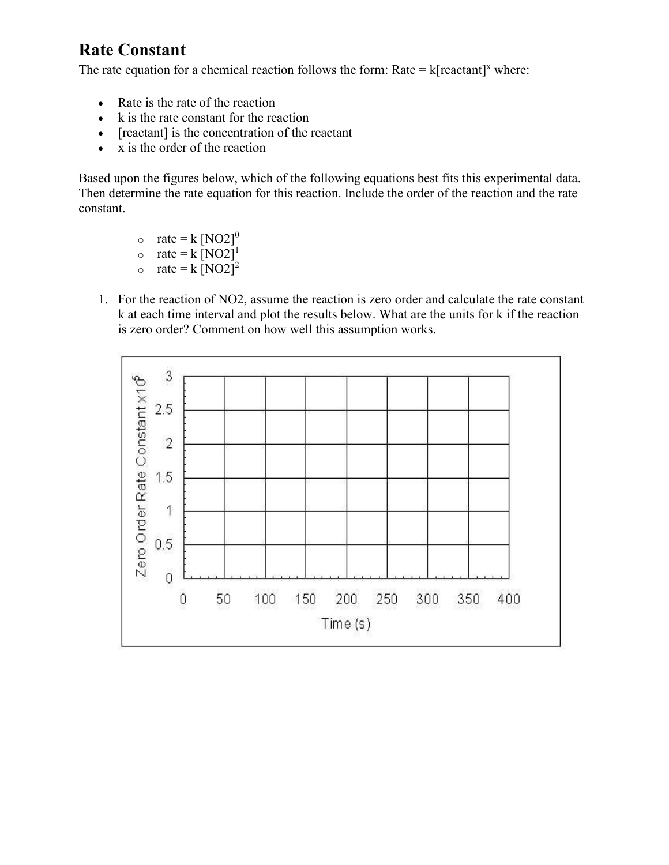## **Rate Constant**

The rate equation for a chemical reaction follows the form: Rate =  $k[reactant]^x$  where:

- Rate is the rate of the reaction
- k is the rate constant for the reaction
- [reactant] is the concentration of the reactant
- x is the order of the reaction

Based upon the figures below, which of the following equations best fits this experimental data. Then determine the rate equation for this reaction. Include the order of the reaction and the rate constant.

- $\circ$  rate = k [NO2]<sup>0</sup>
- o rate =  $k \overline{[NO2]}^1$
- o rate =  $k \,[\text{NO2}]^2$
- 1. For the reaction of NO2, assume the reaction is zero order and calculate the rate constant k at each time interval and plot the results below. What are the units for k if the reaction is zero order? Comment on how well this assumption works.